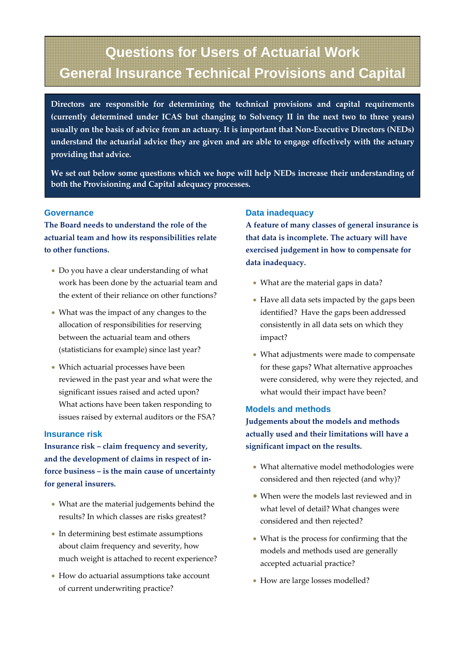# **Questions for Users of Actuarial Work General Insurance Technical Provisions and Capital**

 **Directors are responsible for determining the technical provisions and capital requirements (currently determined under ICAS but changing to Solvency II in the next two to three years)** usually on the basis of advice from an actuary. It is important that Non-Executive Directors (NEDs) **understand the actuarial advice they are given and are able to engage effectively with the actuary providing that advice.**

**We set out below some questions which we hope will help NEDs increase their understanding of both the Provisioning and Capital adequacy processes.**

## **Governance**

**The Board needs to understand the role of the actuarial team and how its responsibilities relate to other functions.**

- Do you have a clear understanding of what work has been done by the actuarial team and the extent of their reliance on other functions?
- What was the impact of any changes to the allocation of responsibilities for reserving between the actuarial team and others (statisticians for example) since last year?
- Which actuarial processes have been reviewed in the past year and what were the significant issues raised and acted upon? What actions have been taken responding to issues raised by external auditors or the FSA?

#### **Insurance risk**

**Insurance risk – claim frequency and severity, and the development of claims in respect of in‐ force business – is the main cause of uncertainty for general insurers.**

- What are the material judgements behind the results? In which classes are risks greatest?
- In determining best estimate assumptions about claim frequency and severity, how much weight is attached to recent experience?
- How do actuarial assumptions take account of current underwriting practice?

## **Data inadequacy**

**A feature of many classes of general insurance is that data is incomplete. The actuary will have exercised judgement in how to compensate for data inadequacy.**

- What are the material gaps in data?
- Have all data sets impacted by the gaps been identified? Have the gaps been addressed consistently in all data sets on which they impact?
- What adjustments were made to compensate for these gaps? What alternative approaches were considered, why were they rejected, and what would their impact have been?

## **Models and methods**

**Judgements about the models and methods actually used and their limitations will have a significant impact on the results.** 

- What alternative model methodologies were considered and then rejected (and why)?
- When were the models last reviewed and in what level of detail? What changes were considered and then rejected?
- What is the process for confirming that the models and methods used are generally accepted actuarial practice?
- How are large losses modelled?